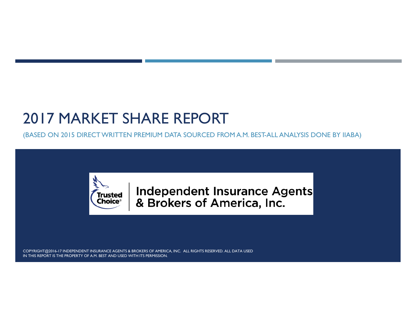# 2017 MARKET SHARE REPORT

(BASED ON 2015 DIRECT WRITTEN PREMIUM DATA SOURCED FROM A.M. BEST-ALL ANALYSIS DONE BY IIABA)



Independent Insurance Agents & Brokers of America, Inc.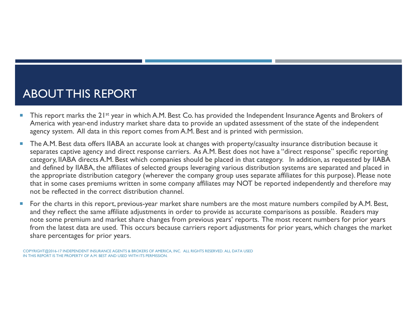#### ABOUT THIS REPORT

- П This report marks the 21st year in which A.M. Best Co. has provided the Independent Insurance Agents and Brokers of America with year-end industry market share data to provide an updated assessment of the state of the independent agency system. All data in this report comes from A.M. Best and is printed with permission.
- × The A.M. Best data offers IIABA an accurate look at changes with property/casualty insurance distribution because it separates captive agency and direct response carriers. As A.M. Best does not have a "direct response" specific reporting category, IIABA directs A.M. Best which companies should be placed in that category. In addition, as requested by IIABA and defined by IIABA, the affiliates of selected groups leveraging various distribution systems are separated and placed in the appropriate distribution category (wherever the company group uses separate affiliates for this purpose). Please note that in some cases premiums written in some company affiliates may NOT be reported independently and therefore may not be reflected in the correct distribution channel.
- ш For the charts in this report, previous-year market share numbers are the most mature numbers compiled by A.M. Best, and they reflect the same affiliate adjustments in order to provide as accurate comparisons as possible. Readers may note some premium and market share changes from previous years' reports. The most recent numbers for prior years from the latest data are used. This occurs because carriers report adjustments for prior years, which changes the market share percentages for prior years.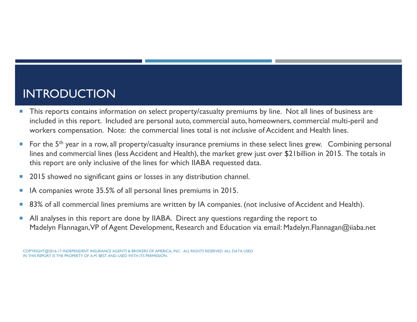#### INTRODUCTION

- This reports contains information on select property/casualty premiums by line. Not all lines of business are included in this report. Included are personal auto, commercial auto, homeowners, commercial multi-peril and workers compensation. Note: the commercial lines total is *not inclusive* of Accident and Health lines.
- F. For the 5<sup>th</sup> year in a row, all property/casualty insurance premiums in these select lines grew. Combining personal lines and commercial lines (less Accident and Health), the market grew just over \$21billion in 2015. The totals in this report are only inclusive of the lines for which IIABA requested data.
- F. 2015 showed no significant gains or losses in any distribution channel.
- $\overline{\phantom{a}}$ IA companies wrote 35.5% of all personal lines premiums in 2015.
- F. 83% of all commercial lines premiums are written by IA companies. (not inclusive of Accident and Health).
- F. All analyses in this report are done by IIABA. Direct any questions regarding the report to Madelyn Flannagan, VP of Agent Development, Research and Education via email: Madelyn.Flannagan@iiaba.net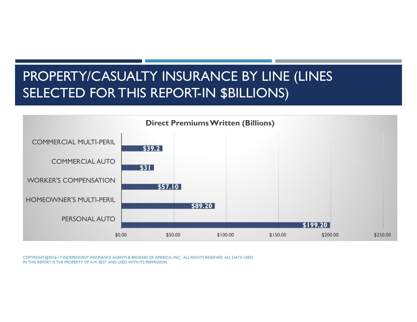## PROPERTY/CASUALTY INSURANCE BY LINE (LINES SELECTED FOR THIS REPORT-IN \$BILLIONS)

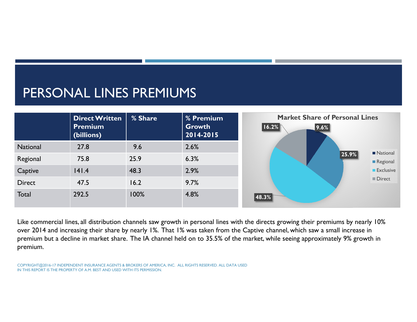## PERSONAL LINES PREMIUMS



Like commercial lines, all distribution channels saw growth in personal lines with the directs growing their premiums by nearly 10% over 2014 and increasing their share by nearly 1%. That 1% was taken from the Captive channel, which saw a small increase in premium but a decline in market share. The IA channel held on to 35.5% of the market, while seeing approximately 9% growth in premium.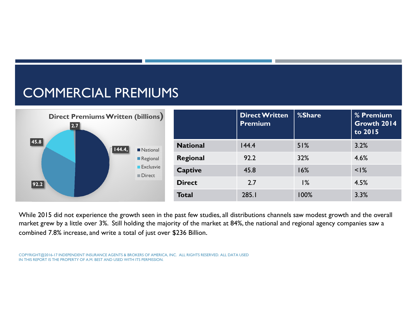## COMMERCIAL PREMIUMS



While 2015 did not experience the growth seen in the past few studies, all distributions channels saw modest growth and the overall market grew by a little over 3%. Still holding the majority of the market at 84%, the national and regional agency companies saw a combined 7.8% increase, and write a total of just over \$236 Billion.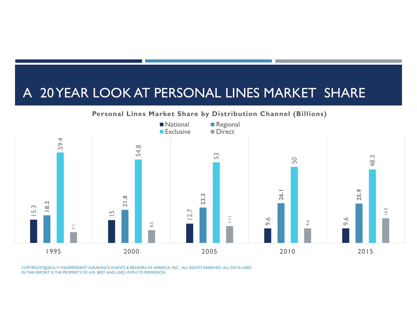#### A 20 YEAR LOOK AT PERSONAL LINES MARKET SHARE

#### **Personal Lines Market Share by Distribution Channel (Billions)**

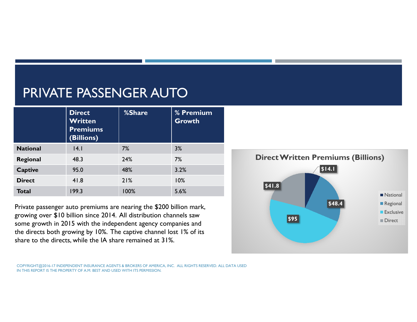## PRIVATE PASSENGER AUTO

|                 | <b>Direct</b><br>Written<br><b>Premiums</b><br>(Billions) | %Share | % Premium<br><b>Growth</b> |
|-----------------|-----------------------------------------------------------|--------|----------------------------|
| <b>National</b> | 4.1                                                       | 7%     | 3%                         |
| Regional        | 48.3                                                      | 24%    | 7%                         |
| <b>Captive</b>  | 95.0                                                      | 48%    | 3.2%                       |
| <b>Direct</b>   | 41.8                                                      | 21%    | 10%                        |
| <b>Total</b>    | 199.3                                                     | 100%   | 5.6%                       |

Private passenger auto premiums are nearing the \$200 billion mark, growing over \$10 billion since 2014. All distribution channels saw some growth in 2015 with the independent agency companies and the directs both growing by 10%. The captive channel lost 1% of its share to the directs, while the IA share remained at 31%.

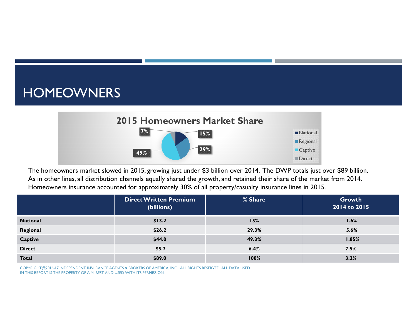### HOMEOWNERS



The homeowners market slowed in 2015, growing just under \$3 billion over 2014. The DWP totals just over \$89 billion. As in other lines, all distribution channels equally shared the growth, and retained their share of the market from 2014. Homeowners insurance accounted for approximately 30% of all property/casualty insurance lines in 2015.

|                 | <b>Direct Written Premium</b><br>(billions) | % Share | Growth<br>2014 to 2015 |
|-----------------|---------------------------------------------|---------|------------------------|
| <b>National</b> | \$13.2                                      | 15%     | 1.6%                   |
| Regional        | \$26.2                                      | 29.3%   | 5.6%                   |
| Captive         | \$44.0                                      | 49.3%   | 1.85%                  |
| <b>Direct</b>   | \$5.7                                       | 6.4%    | 7.5%                   |
| <b>Total</b>    | \$89.0                                      | 100%    | 3.2%                   |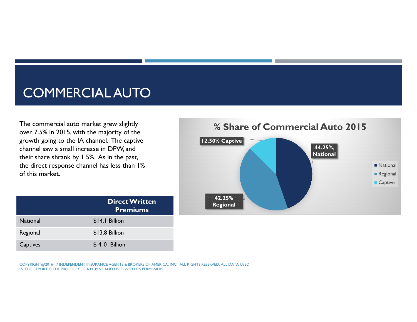### COMMERCIAL AUTO

The commercial auto market grew slightly over 7.5% in 2015, with the majority of the growth going to the IA channel. The captive channel saw a small increase in DPW, and their share shrank by 1.5%. As in the past, the direct response channel has less than 1% of this market.

**44.25%, National 42.25% Regional 12.50% Captive % Share of Commercial Auto 2015National** Regional ■ Captive

|                 | <b>Direct Written</b><br><b>Premiums</b> |
|-----------------|------------------------------------------|
| <b>National</b> | \$14.1 Billion                           |
| Regional        | \$13.8 Billion                           |
| Captives        | \$4.0 Billion                            |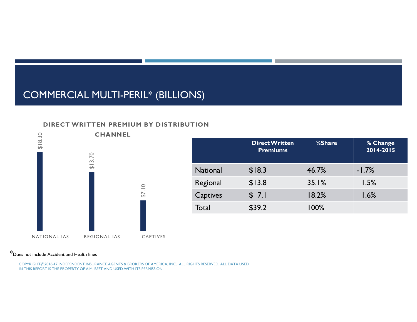#### COMMERCIAL MULTI-PERIL\* (BILLIONS)

#### **DIRECT WRITTEN PREMIUM BY DISTRIBUTION**



#### \*Does not include Accident and Health lines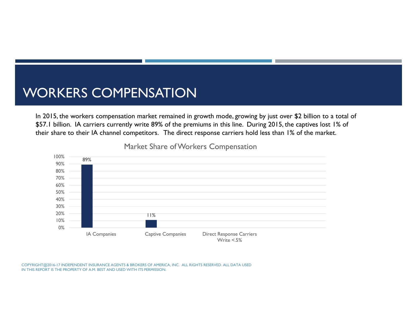### WORKERS COMPENSATION

In 2015, the workers compensation market remained in growth mode, growing by just over \$2 billion to a total of \$57.1 billion. IA carriers currently write 89% of the premiums in this line. During 2015, the captives lost 1% of their share to their IA channel competitors. The direct response carriers hold less than 1% of the market.



Market Share of Workers Compensation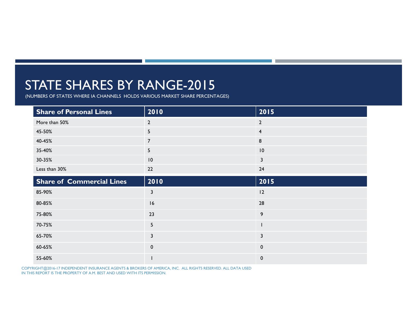### STATE SHARES BY RANGE-2015

(NUMBERS OF STATES WHERE IA CHANNELS HOLDS VARIOUS MARKET SHARE PERCENTAGES)

| <b>Share of Personal Lines</b>   | 2010           | 2015           |
|----------------------------------|----------------|----------------|
| More than 50%                    | $\mathbf{2}$   | $\mathbf{2}$   |
| 45-50%                           | 5              | $\overline{4}$ |
| 40-45%                           | $\overline{7}$ | 8              |
| 35-40%                           | 5              | 10             |
| 30-35%                           | 10             | $\mathbf{3}$   |
| Less than 30%                    | 22             | 24             |
| <b>Share of Commercial Lines</b> | 2010           | 2015           |
| 85-90%                           | $\mathbf{3}$   | 12             |
| 80-85%                           | 16             | 28             |
| 75-80%                           | 23             | 9              |
| 70-75%                           | 5 <sub>5</sub> |                |
| 65-70%                           | 3              | 3              |
| 60-65%                           | $\mathbf 0$    | $\mathbf 0$    |
| 55-60%                           |                | $\mathbf 0$    |